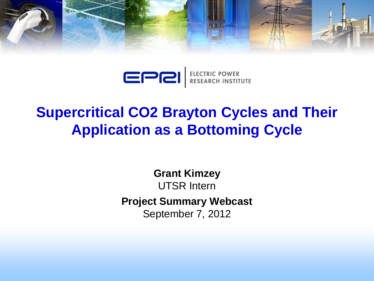

EPRI ELECTRIC POWER

## **Supercritical CO2 Brayton Cycles and Their Application as a Bottoming Cycle**

**Grant Kimzey** UTSR Intern **Project Summary Webcast** September 7, 2012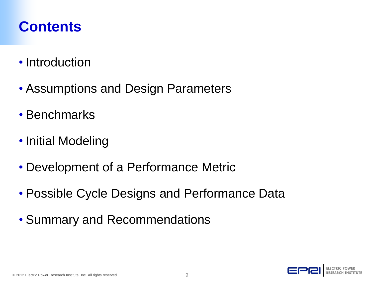#### **Contents**

- Introduction
- Assumptions and Design Parameters
- Benchmarks
- Initial Modeling
- Development of a Performance Metric
- Possible Cycle Designs and Performance Data
- Summary and Recommendations

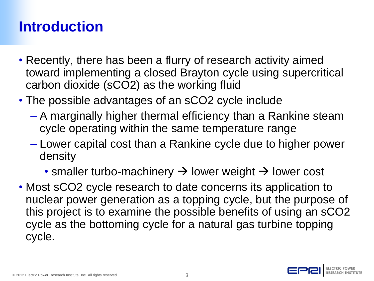## **Introduction**

- Recently, there has been a flurry of research activity aimed toward implementing a closed Brayton cycle using supercritical carbon dioxide (sCO2) as the working fluid
- The possible advantages of an sCO2 cycle include
	- A marginally higher thermal efficiency than a Rankine steam cycle operating within the same temperature range
	- Lower capital cost than a Rankine cycle due to higher power density
		- smaller turbo-machinery  $\rightarrow$  lower weight  $\rightarrow$  lower cost
- Most sCO2 cycle research to date concerns its application to nuclear power generation as a topping cycle, but the purpose of this project is to examine the possible benefits of using an sCO2 cycle as the bottoming cycle for a natural gas turbine topping cycle.

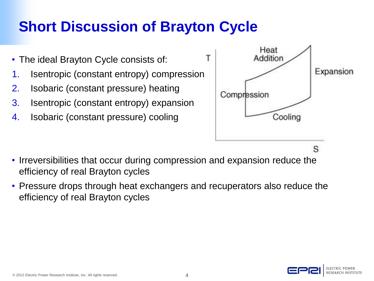## **Short Discussion of Brayton Cycle**

- The ideal Brayton Cycle consists of:
- 1. Isentropic (constant entropy) compression
- 2. Isobaric (constant pressure) heating
- 3. Isentropic (constant entropy) expansion
- 4. Isobaric (constant pressure) cooling



- Irreversibilities that occur during compression and expansion reduce the efficiency of real Brayton cycles
- Pressure drops through heat exchangers and recuperators also reduce the efficiency of real Brayton cycles

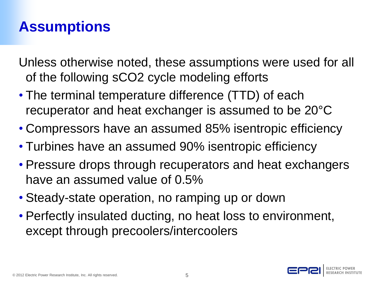#### **Assumptions**

Unless otherwise noted, these assumptions were used for all of the following sCO2 cycle modeling efforts

- The terminal temperature difference (TTD) of each recuperator and heat exchanger is assumed to be 20°C
- Compressors have an assumed 85% isentropic efficiency
- Turbines have an assumed 90% isentropic efficiency
- Pressure drops through recuperators and heat exchangers have an assumed value of 0.5%
- Steady-state operation, no ramping up or down
- Perfectly insulated ducting, no heat loss to environment, except through precoolers/intercoolers

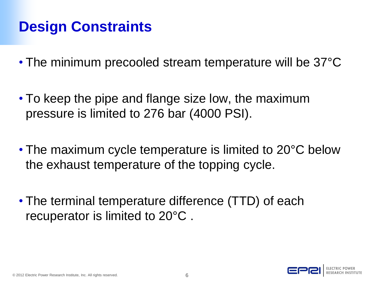## **Design Constraints**

- The minimum precooled stream temperature will be 37°C
- To keep the pipe and flange size low, the maximum pressure is limited to 276 bar (4000 PSI).
- The maximum cycle temperature is limited to 20°C below the exhaust temperature of the topping cycle.
- The terminal temperature difference (TTD) of each recuperator is limited to 20°C .

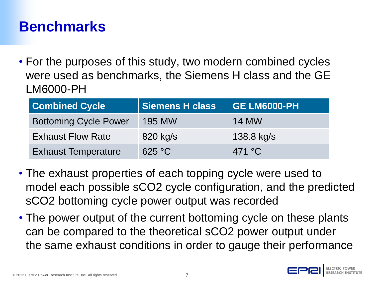#### **Benchmarks**

• For the purposes of this study, two modern combined cycles were used as benchmarks, the Siemens H class and the GE LM6000-PH

| <b>Combined Cycle</b>        | <b>Siemens H class</b> | <b>GE LM6000-PH</b> |
|------------------------------|------------------------|---------------------|
| <b>Bottoming Cycle Power</b> | <b>195 MW</b>          | <b>14 MW</b>        |
| <b>Exhaust Flow Rate</b>     | 820 kg/s               | 138.8 kg/s          |
| <b>Exhaust Temperature</b>   | 625 °C                 | 471 $\degree$ C     |

- The exhaust properties of each topping cycle were used to model each possible sCO2 cycle configuration, and the predicted sCO2 bottoming cycle power output was recorded
- The power output of the current bottoming cycle on these plants can be compared to the theoretical sCO2 power output under the same exhaust conditions in order to gauge their performance

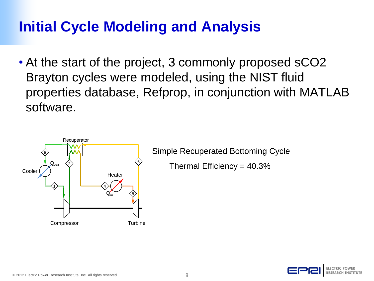## **Initial Cycle Modeling and Analysis**

• At the start of the project, 3 commonly proposed sCO2 Brayton cycles were modeled, using the NIST fluid properties database, Refprop, in conjunction with MATLAB software.



Simple Recuperated Bottoming Cycle

Thermal Efficiency = 40.3%

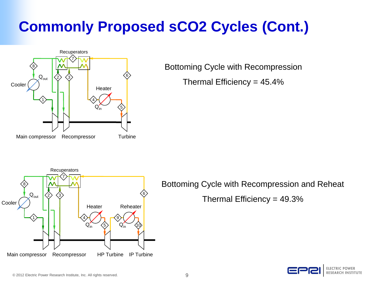# **Commonly Proposed sCO2 Cycles (Cont.)**



Bottoming Cycle with Recompression

Thermal Efficiency = 45.4%



Bottoming Cycle with Recompression and Reheat

Thermal Efficiency = 49.3%

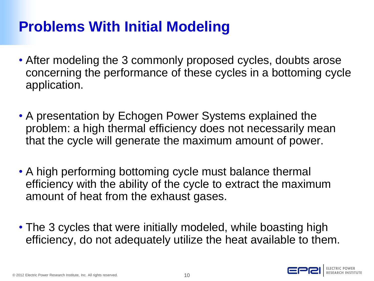#### **Problems With Initial Modeling**

- After modeling the 3 commonly proposed cycles, doubts arose concerning the performance of these cycles in a bottoming cycle application.
- A presentation by Echogen Power Systems explained the problem: a high thermal efficiency does not necessarily mean that the cycle will generate the maximum amount of power.
- A high performing bottoming cycle must balance thermal efficiency with the ability of the cycle to extract the maximum amount of heat from the exhaust gases.
- The 3 cycles that were initially modeled, while boasting high efficiency, do not adequately utilize the heat available to them.

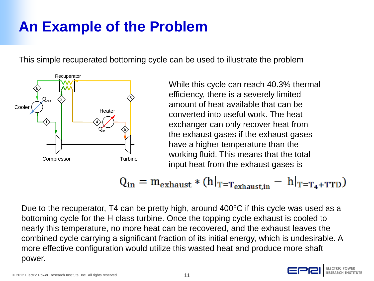## **An Example of the Problem**

This simple recuperated bottoming cycle can be used to illustrate the problem



While this cycle can reach 40.3% thermal efficiency, there is a severely limited amount of heat available that can be converted into useful work. The heat exchanger can only recover heat from the exhaust gases if the exhaust gases have a higher temperature than the working fluid. This means that the total input heat from the exhaust gases is

$$
Q_{\text{in}} = m_{\text{exhaust}} * (h|_{T=T_{\text{exhaust,in}}} - h|_{T=T_4+TTD})
$$

Due to the recuperator, T4 can be pretty high, around 400°C if this cycle was used as a bottoming cycle for the H class turbine. Once the topping cycle exhaust is cooled to nearly this temperature, no more heat can be recovered, and the exhaust leaves the combined cycle carrying a significant fraction of its initial energy, which is undesirable. A more effective configuration would utilize this wasted heat and produce more shaft power.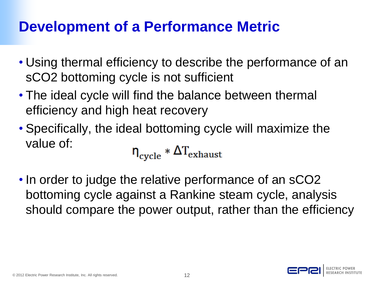## **Development of a Performance Metric**

- Using thermal efficiency to describe the performance of an sCO2 bottoming cycle is not sufficient
- The ideal cycle will find the balance between thermal efficiency and high heat recovery
- Specifically, the ideal bottoming cycle will maximize the value of:

$$
\eta_{\text{cycle}} * \Delta T_{\text{exhaust}}
$$

• In order to judge the relative performance of an sCO2 bottoming cycle against a Rankine steam cycle, analysis should compare the power output, rather than the efficiency

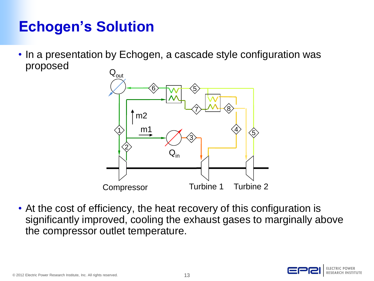## **Echogen's Solution**

• In a presentation by Echogen, a cascade style configuration was proposed



• At the cost of efficiency, the heat recovery of this configuration is significantly improved, cooling the exhaust gases to marginally above the compressor outlet temperature.

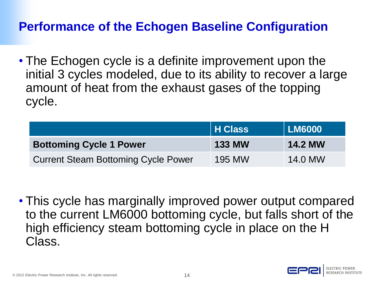#### **Performance of the Echogen Baseline Configuration**

• The Echogen cycle is a definite improvement upon the initial 3 cycles modeled, due to its ability to recover a large amount of heat from the exhaust gases of the topping cycle.

|                                            | H Class       | <b>LM6000</b>  |
|--------------------------------------------|---------------|----------------|
| <b>Bottoming Cycle 1 Power</b>             | <b>133 MW</b> | <b>14.2 MW</b> |
| <b>Current Steam Bottoming Cycle Power</b> | 195 MW        | 14.0 MW        |

• This cycle has marginally improved power output compared to the current LM6000 bottoming cycle, but falls short of the high efficiency steam bottoming cycle in place on the H Class.

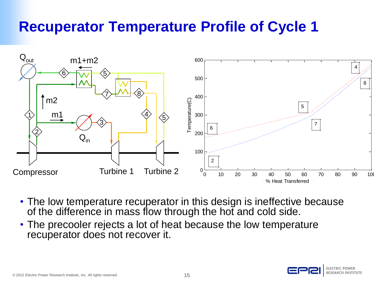#### **Recuperator Temperature Profile of Cycle 1**



- The low temperature recuperator in this design is ineffective because of the difference in mass flow through the hot and cold side.
- The precooler rejects a lot of heat because the low temperature recuperator does not recover it.

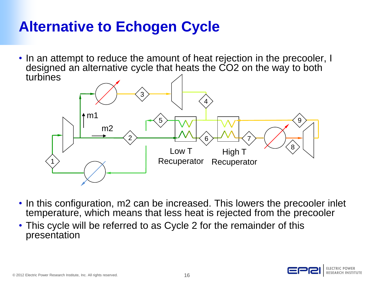## **Alternative to Echogen Cycle**

• In an attempt to reduce the amount of heat rejection in the precooler, I designed an alternative cycle that heats the CO2 on the way to both turbines



- In this configuration, m2 can be increased. This lowers the precooler inlet temperature, which means that less heat is rejected from the precooler
- This cycle will be referred to as Cycle 2 for the remainder of this presentation

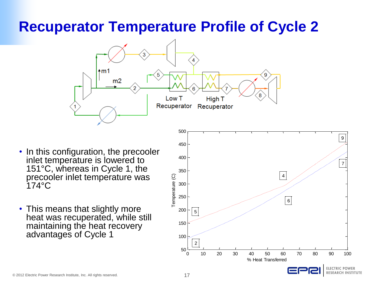#### **Recuperator Temperature Profile of Cycle 2**



- In this configuration, the precooler inlet temperature is lowered to 151°C, whereas in Cycle 1, the precooler inlet temperature was 174°C
- This means that slightly more heat was recuperated, while still maintaining the heat recovery advantages of Cycle 1

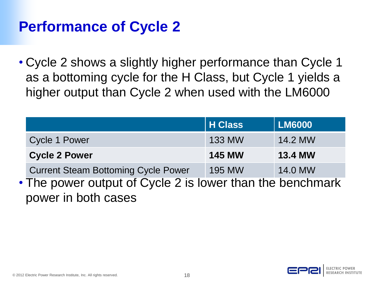#### **Performance of Cycle 2**

• Cycle 2 shows a slightly higher performance than Cycle 1 as a bottoming cycle for the H Class, but Cycle 1 yields a higher output than Cycle 2 when used with the LM6000

|                                                           | <b>H</b> Class | <b>LM6000</b>  |
|-----------------------------------------------------------|----------------|----------------|
| <b>Cycle 1 Power</b>                                      | <b>133 MW</b>  | 14.2 MW        |
| <b>Cycle 2 Power</b>                                      | <b>145 MW</b>  | <b>13.4 MW</b> |
| <b>Current Steam Bottoming Cycle Power</b>                | <b>195 MW</b>  | 14.0 MW        |
| • The power output of Cycle 2 is lower than the benchmark |                |                |
| power in both cases                                       |                |                |

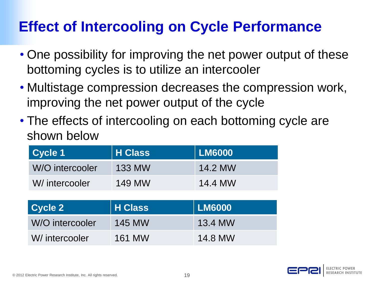## **Effect of Intercooling on Cycle Performance**

- One possibility for improving the net power output of these bottoming cycles is to utilize an intercooler
- Multistage compression decreases the compression work, improving the net power output of the cycle
- The effects of intercooling on each bottoming cycle are shown below

| <b>Cycle 1</b>  | <b>H</b> Class | <b>LM6000</b> |  |  |  |
|-----------------|----------------|---------------|--|--|--|
| W/O intercooler | <b>133 MW</b>  | 14.2 MW       |  |  |  |
| W/ intercooler  | <b>149 MW</b>  | 14.4 MW       |  |  |  |
|                 |                |               |  |  |  |
|                 |                |               |  |  |  |
| <b>Cycle 2</b>  | <b>H</b> Class | <b>LM6000</b> |  |  |  |
| W/O intercooler | <b>145 MW</b>  | 13.4 MW       |  |  |  |

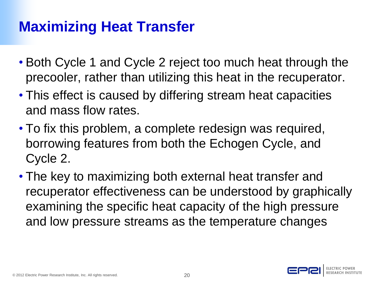## **Maximizing Heat Transfer**

- Both Cycle 1 and Cycle 2 reject too much heat through the precooler, rather than utilizing this heat in the recuperator.
- This effect is caused by differing stream heat capacities and mass flow rates.
- To fix this problem, a complete redesign was required, borrowing features from both the Echogen Cycle, and Cycle 2.
- The key to maximizing both external heat transfer and recuperator effectiveness can be understood by graphically examining the specific heat capacity of the high pressure and low pressure streams as the temperature changes

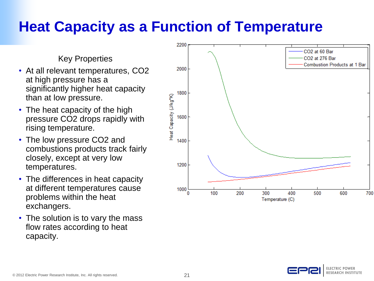## **Heat Capacity as a Function of Temperature**

Key Properties

- At all relevant temperatures, CO2 at high pressure has a significantly higher heat capacity than at low pressure.
- The heat capacity of the high pressure CO2 drops rapidly with rising temperature.
- The low pressure CO<sub>2</sub> and combustions products track fairly closely, except at very low temperatures.
- The differences in heat capacity at different temperatures cause problems within the heat exchangers.
- The solution is to vary the mass flow rates according to heat capacity.



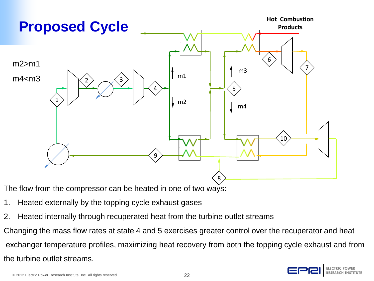

The flow from the compressor can be heated in one of two ways:

- 1. Heated externally by the topping cycle exhaust gases
- 2. Heated internally through recuperated heat from the turbine outlet streams

Changing the mass flow rates at state 4 and 5 exercises greater control over the recuperator and heat exchanger temperature profiles, maximizing heat recovery from both the topping cycle exhaust and from the turbine outlet streams.

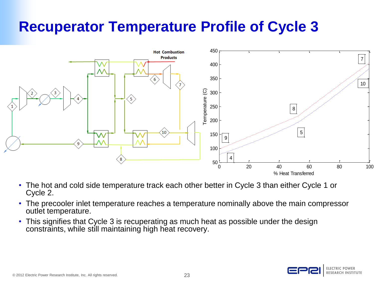## **Recuperator Temperature Profile of Cycle 3**



- The hot and cold side temperature track each other better in Cycle 3 than either Cycle 1 or Cycle 2.
- The precooler inlet temperature reaches a temperature nominally above the main compressor outlet temperature.
- This signifies that Cycle 3 is recuperating as much heat as possible under the design constraints, while still maintaining high heat recovery.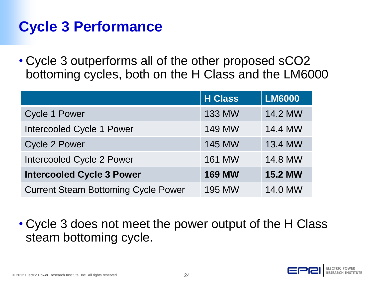# **Cycle 3 Performance**

• Cycle 3 outperforms all of the other proposed sCO2 bottoming cycles, both on the H Class and the LM6000

|                                            | <b>H</b> Class | <b>LM6000</b>  |
|--------------------------------------------|----------------|----------------|
| <b>Cycle 1 Power</b>                       | <b>133 MW</b>  | 14.2 MW        |
| <b>Intercooled Cycle 1 Power</b>           | <b>149 MW</b>  | 14.4 MW        |
| <b>Cycle 2 Power</b>                       | <b>145 MW</b>  | 13.4 MW        |
| Intercooled Cycle 2 Power                  | <b>161 MW</b>  | 14.8 MW        |
| <b>Intercooled Cycle 3 Power</b>           | <b>169 MW</b>  | <b>15.2 MW</b> |
| <b>Current Steam Bottoming Cycle Power</b> | <b>195 MW</b>  | 14.0 MW        |

• Cycle 3 does not meet the power output of the H Class steam bottoming cycle.



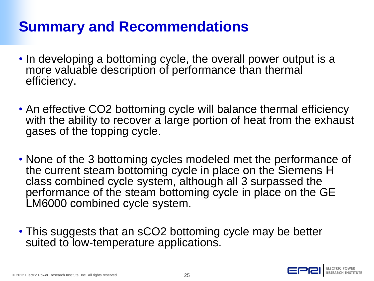## **Summary and Recommendations**

- In developing a bottoming cycle, the overall power output is a more valuable description of performance than thermal efficiency.
- An effective CO2 bottoming cycle will balance thermal efficiency with the ability to recover a large portion of heat from the exhaust gases of the topping cycle.
- None of the 3 bottoming cycles modeled met the performance of the current steam bottoming cycle in place on the Siemens H class combined cycle system, although all 3 surpassed the performance of the steam bottoming cycle in place on the GE LM6000 combined cycle system.
- This suggests that an sCO2 bottoming cycle may be better suited to low-temperature applications.

© 2012 Electric Power Research Institute, Inc. All rights reserved. 25

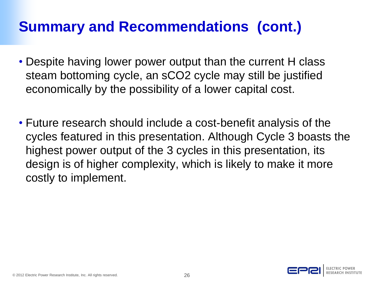## **Summary and Recommendations (cont.)**

- Despite having lower power output than the current H class steam bottoming cycle, an sCO2 cycle may still be justified economically by the possibility of a lower capital cost.
- Future research should include a cost-benefit analysis of the cycles featured in this presentation. Although Cycle 3 boasts the highest power output of the 3 cycles in this presentation, its design is of higher complexity, which is likely to make it more costly to implement.

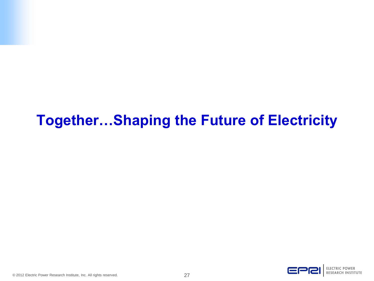## **Together…Shaping the Future of Electricity**

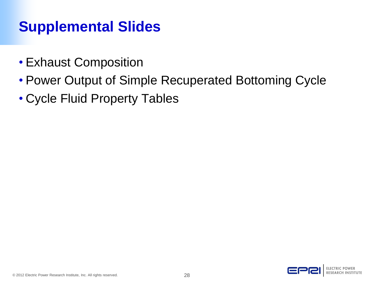## **Supplemental Slides**

- Exhaust Composition
- Power Output of Simple Recuperated Bottoming Cycle
- Cycle Fluid Property Tables

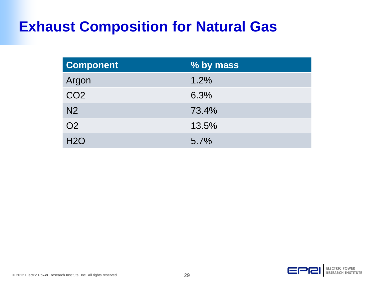#### **Exhaust Composition for Natural Gas**

| <b>Component</b> | % by mass |
|------------------|-----------|
| Argon            | 1.2%      |
| CO <sub>2</sub>  | 6.3%      |
| N <sub>2</sub>   | 73.4%     |
| <b>O2</b>        | 13.5%     |
| H2O              | 5.7%      |

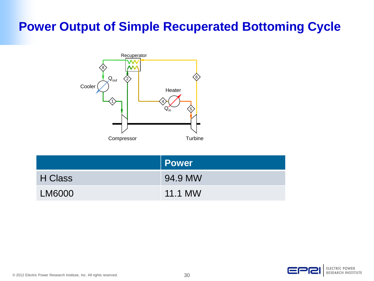#### **Power Output of Simple Recuperated Bottoming Cycle**



|               | <b>Power</b>   |
|---------------|----------------|
| H Class       | 94.9 MW        |
| <b>LM6000</b> | <b>11.1 MW</b> |

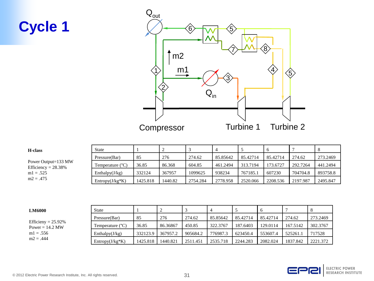## **Cycle 1**



| <b>H</b> -class                               | State                     |          |         |          |          |          |          |          |          |
|-----------------------------------------------|---------------------------|----------|---------|----------|----------|----------|----------|----------|----------|
| Power Output=133 MW<br>Efficiency = $28.38\%$ | Pressure(Bar)             | 85       | 276     | 274.62   | 85.85642 | 85.42714 | 85.42714 | 274.62   | 273.2469 |
|                                               | Temperature $(^{\circ}C)$ | 36.85    | 86.368  | 604.85   | 461.2494 | 313.7194 | 173.6727 | 292.7264 | 441.2494 |
| $ml = .525$                                   | Enthalpy(J/kg)            | 332124   | 367957  | 1099625  | 938234   | 767185.1 | 607230   | 704704.8 | 893758.8 |
| $m2 = .475$                                   | $Entropy(J/kg*K)$         | 1425.818 | 1440.82 | 2754.284 | 2778.958 | 2520.066 | 2208.536 | 2197.987 | 2495.847 |

| <b>LM6000</b>                              | State                     |          |          |          |          |          |          |          |          |
|--------------------------------------------|---------------------------|----------|----------|----------|----------|----------|----------|----------|----------|
| Efficieny = $25.92\%$<br>Power = $14.2$ MW | Pressure(Bar)             | -85      | 276      | 274.62   | 85.85642 | 85.42714 | 85.42714 | 274.62   | 273.2469 |
|                                            | Temperature $(^{\circ}C)$ | 36.85    | 86.36867 | 450.85   | 322,3767 | 187.6403 | 129.0114 | 167.5142 | 302.3767 |
| $m1 = .556$                                | Enthalpy $(J/kg)$         | 332123.9 | 367957.2 | 905684.2 | 776987.3 | 623450.4 | 553607.4 | 525261.1 | 717528   |
| $m2 = .444$                                | $Entropy(J/kg*K)$         | 1425.818 | 1440.821 | 2511.451 | 2535.718 | 2244.283 | 2082.024 | 1837.842 | 2221.372 |

#### EPR **ELECTRIC POWER RESEARCH INSTITUTE**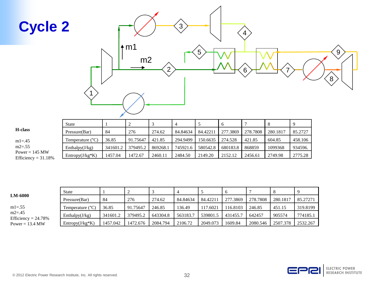

|                                                   | <b>State</b>              |          |          |          |          |          |          |          |          |         |
|---------------------------------------------------|---------------------------|----------|----------|----------|----------|----------|----------|----------|----------|---------|
| H-class                                           | Pressure(Bar)             | 84       | 276      | 274.62   | 84.84634 | 84.42211 | 277.3869 | 278.7808 | 280.1817 | 85.2727 |
| $m1 = .45$                                        | Temperature $(^{\circ}C)$ | 36.85    | 91.75647 | 421.85   | 294.9499 | 150.6635 | 274.528  | 421.85   | 604.85   | 458.106 |
| $m2 = .55$                                        | Enthalpy $(J/kg)$         | 341601.2 | 379495.2 | 869268.1 | 745921.6 | 580542.8 | 680183.8 | 868859   | 1099368  | 934596. |
| Power = $145 \text{ MW}$<br>Efficiency = $31.18%$ | $Entropy(J/kg*K)$         | 1457.04  | 1472.67  | 2460.11  | 2484.50  | 2149.20  | 2152.12  | 2456.61  | 2749.98  | 2775.28 |

|                                     | State             |          |          |          |          |          |          |          |          |          |
|-------------------------------------|-------------------|----------|----------|----------|----------|----------|----------|----------|----------|----------|
| <b>LM-6000</b>                      | Pressure(Bar)     | 84       | 276      | 274.62   | 84.84634 | 84.42211 | 277.3869 | 278.7808 | 280.1817 | 85.27271 |
| $m1 = .55$                          | Temperature (°C)  | 36.85    | 91.75647 | 246.85   | 136.49   | 117.6021 | 116.8103 | 246.85   | 451.15   | 319.8199 |
| $m2 = .45$<br>Efficiency = $24.78%$ | Enthalpy $(J/kg)$ | 341601.2 | 379495.2 | 643304.8 | 563183.7 | 539801.5 | 431455.7 | 642457   | 905574   | 774185.1 |
| Power = $13.4$ MW                   | $Entropy(J/kg*K)$ | 1457.042 | 1472.676 | 2084.794 | 2106.72  | 2049.073 | 1609.84  | 2080.546 | 2507.378 | 2532.267 |